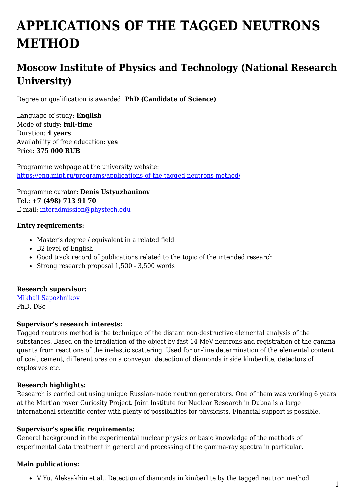# **APPLICATIONS OF THE TAGGED NEUTRONS METHOD**

## **Moscow Institute of Physics and Technology (National Research University)**

Degree or qualification is awarded: **PhD (Candidate of Science)**

Language of study: **English** Mode of study: **full-time** Duration: **4 years** Availability of free education: **yes** Price: **375 000 RUB**

Programme webpage at the university website: <https://eng.mipt.ru/programs/applications-of-the-tagged-neutrons-method/>

Programme curator: **Denis Ustyuzhaninov** Tel.: **+7 (498) 713 91 70** E-mail: [interadmission@phystech.edu](mailto:interadmission@phystech.edu)

#### **Entry requirements:**

- Master's degree / equivalent in a related field
- B2 level of English
- Good track record of publications related to the topic of the intended research
- Strong research proposal 1,500 3,500 words

#### **Research supervisor:**

[Mikhail Sapozhnikov](https://www.researchgate.net/profile/M_Sapozhnikov) PhD, DSc

#### **Supervisor's research interests:**

Tagged neutrons method is the technique of the distant non-destructive elemental analysis of the substances. Based on the irradiation of the object by fast 14 MeV neutrons and registration of the gamma quanta from reactions of the inelastic scattering. Used for on-line determination of the elemental content of coal, cement, different ores on a conveyor, detection of diamonds inside kimberlite, detectors of explosives etc.

#### **Research highlights:**

Research is carried out using unique Russian-made neutron generators. One of them was working 6 years at the Martian rover Curiosity Project. Joint Institute for Nuclear Research in Dubna is a large international scientific center with plenty of possibilities for physicists. Financial support is possible.

#### **Supervisor's specific requirements:**

General background in the experimental nuclear physics or basic knowledge of the methods of experimental data treatment in general and processing of the gamma-ray spectra in particular.

#### **Main publications:**

V.Yu. Aleksakhin et al., Detection of diamonds in kimberlite by the tagged neutron method.